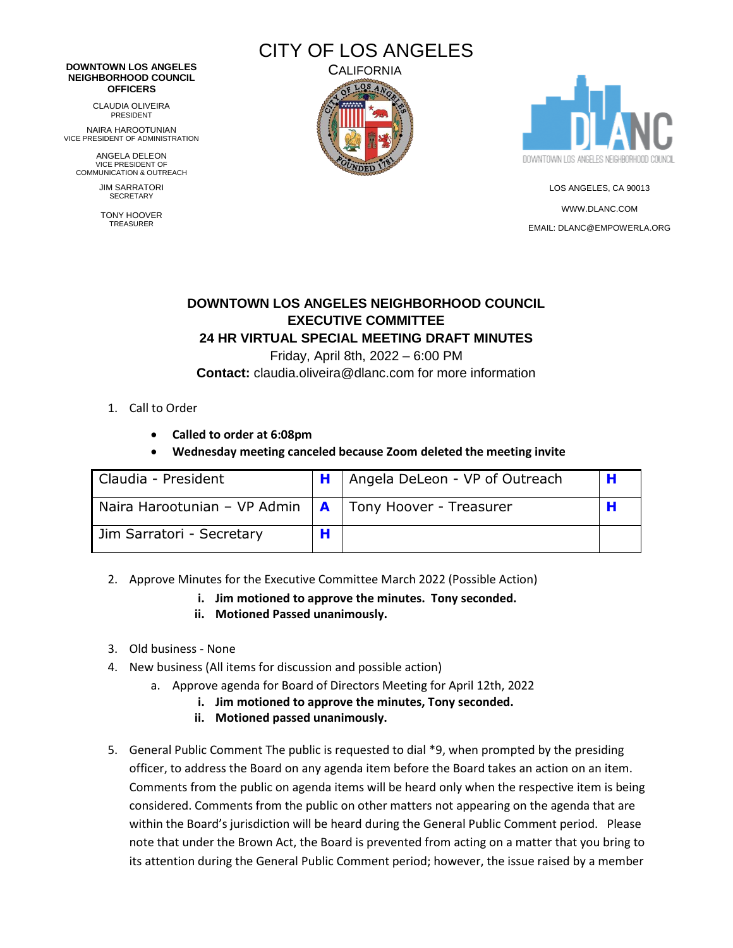# CITY OF LOS ANGELES

#### **DOWNTOWN LOS ANGELES NEIGHBORHOOD COUNCIL OFFICERS**

CLAUDIA OLIVEIRA PRESIDENT

NAIRA HAROOTUNIAN VICE PRESIDENT OF ADMINISTRATION

ANGELA DELEON VICE PRESIDENT OF COMMUNICATION & OUTREACH

> JIM SARRATORI **SECRETARY**

TONY HOOVER TREASURER





LOS ANGELES, CA 90013 [WWW.DLANC.COM](http://www.dlanc.com/) EMAIL[: DLANC@EMPOWERLA.ORG](mailto:DLANC@EMPOWERLA.ORG)

## **DOWNTOWN LOS ANGELES NEIGHBORHOOD COUNCIL EXECUTIVE COMMITTEE**

### **24 HR VIRTUAL SPECIAL MEETING DRAFT MINUTES**

Friday, April 8th, 2022 – 6:00 PM

**Contact:** claudia.oliveira@dlanc.com for more information

- 1. Call to Order
	- **Called to order at 6:08pm**
	- **Wednesday meeting canceled because Zoom deleted the meeting invite**

| Claudia - President          | Angela DeLeon - VP of Outreach     |  |
|------------------------------|------------------------------------|--|
| Naira Harootunian - VP Admin | <b>A</b>   Tony Hoover - Treasurer |  |
| Jim Sarratori - Secretary    |                                    |  |

- 2. Approve Minutes for the Executive Committee March 2022 (Possible Action)
	- **i. Jim motioned to approve the minutes. Tony seconded.**
	- **ii. Motioned Passed unanimously.**
- 3. Old business None
- 4. New business (All items for discussion and possible action)
	- a. Approve agenda for Board of Directors Meeting for April 12th, 2022
		- **i. Jim motioned to approve the minutes, Tony seconded.**
		- **ii. Motioned passed unanimously.**
- 5. General Public Comment The public is requested to dial \*9, when prompted by the presiding officer, to address the Board on any agenda item before the Board takes an action on an item. Comments from the public on agenda items will be heard only when the respective item is being considered. Comments from the public on other matters not appearing on the agenda that are within the Board's jurisdiction will be heard during the General Public Comment period. Please note that under the Brown Act, the Board is prevented from acting on a matter that you bring to its attention during the General Public Comment period; however, the issue raised by a member